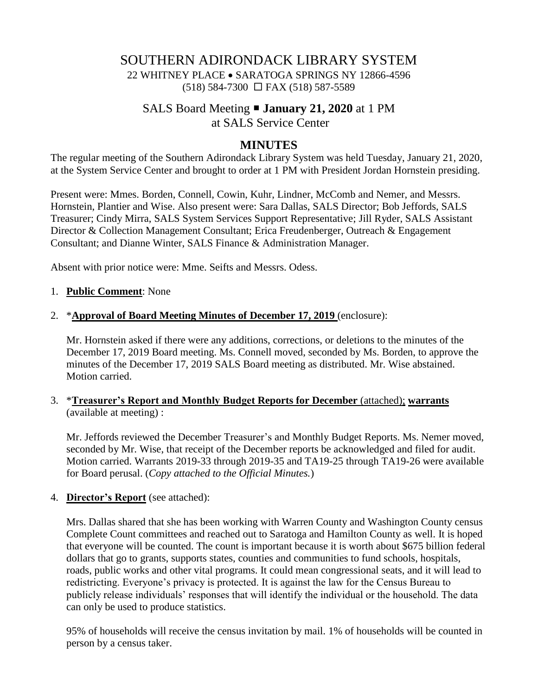# SOUTHERN ADIRONDACK LIBRARY SYSTEM 22 WHITNEY PLACE • SARATOGA SPRINGS NY 12866-4596 (518) 584-7300 FAX (518) 587-5589

# SALS Board Meeting **January 21, 2020** at 1 PM at SALS Service Center

## **MINUTES**

The regular meeting of the Southern Adirondack Library System was held Tuesday, January 21, 2020, at the System Service Center and brought to order at 1 PM with President Jordan Hornstein presiding.

Present were: Mmes. Borden, Connell, Cowin, Kuhr, Lindner, McComb and Nemer, and Messrs. Hornstein, Plantier and Wise. Also present were: Sara Dallas, SALS Director; Bob Jeffords, SALS Treasurer; Cindy Mirra, SALS System Services Support Representative; Jill Ryder, SALS Assistant Director & Collection Management Consultant; Erica Freudenberger, Outreach & Engagement Consultant; and Dianne Winter, SALS Finance & Administration Manager.

Absent with prior notice were: Mme. Seifts and Messrs. Odess.

#### 1. **Public Comment**: None

#### 2. \***Approval of Board Meeting Minutes of December 17, 2019** (enclosure):

Mr. Hornstein asked if there were any additions, corrections, or deletions to the minutes of the December 17, 2019 Board meeting. Ms. Connell moved, seconded by Ms. Borden, to approve the minutes of the December 17, 2019 SALS Board meeting as distributed. Mr. Wise abstained. Motion carried.

#### 3. \***Treasurer's Report and Monthly Budget Reports for December** (attached); **warrants** (available at meeting) :

Mr. Jeffords reviewed the December Treasurer's and Monthly Budget Reports. Ms. Nemer moved, seconded by Mr. Wise, that receipt of the December reports be acknowledged and filed for audit. Motion carried. Warrants 2019-33 through 2019-35 and TA19-25 through TA19-26 were available for Board perusal. (*Copy attached to the Official Minutes.*)

#### 4. **Director's Report** (see attached):

Mrs. Dallas shared that she has been working with Warren County and Washington County census Complete Count committees and reached out to Saratoga and Hamilton County as well. It is hoped that everyone will be counted. The count is important because it is worth about \$675 billion federal dollars that go to grants, supports states, counties and communities to fund schools, hospitals, roads, public works and other vital programs. It could mean congressional seats, and it will lead to redistricting. Everyone's privacy is protected. It is against the law for the Census Bureau to publicly release individuals' responses that will identify the individual or the household. The data can only be used to produce statistics.

95% of households will receive the census invitation by mail. 1% of households will be counted in person by a census taker.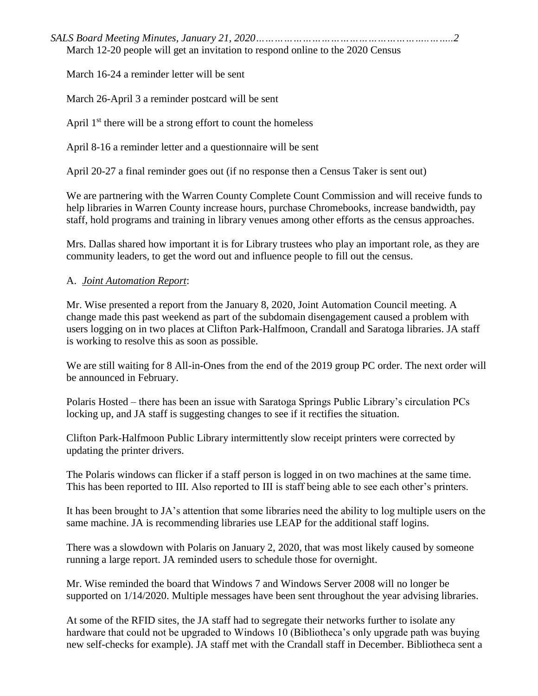*SALS Board Meeting Minutes, January 21, 2020………………………………………………..……..2* March 12-20 people will get an invitation to respond online to the 2020 Census

March 16-24 a reminder letter will be sent

March 26-April 3 a reminder postcard will be sent

April  $1<sup>st</sup>$  there will be a strong effort to count the homeless

April 8-16 a reminder letter and a questionnaire will be sent

April 20-27 a final reminder goes out (if no response then a Census Taker is sent out)

We are partnering with the Warren County Complete Count Commission and will receive funds to help libraries in Warren County increase hours, purchase Chromebooks, increase bandwidth, pay staff, hold programs and training in library venues among other efforts as the census approaches.

Mrs. Dallas shared how important it is for Library trustees who play an important role, as they are community leaders, to get the word out and influence people to fill out the census.

### A. *Joint Automation Report*:

Mr. Wise presented a report from the January 8, 2020, Joint Automation Council meeting. A change made this past weekend as part of the subdomain disengagement caused a problem with users logging on in two places at Clifton Park-Halfmoon, Crandall and Saratoga libraries. JA staff is working to resolve this as soon as possible.

We are still waiting for 8 All-in-Ones from the end of the 2019 group PC order. The next order will be announced in February.

Polaris Hosted – there has been an issue with Saratoga Springs Public Library's circulation PCs locking up, and JA staff is suggesting changes to see if it rectifies the situation.

Clifton Park-Halfmoon Public Library intermittently slow receipt printers were corrected by updating the printer drivers.

The Polaris windows can flicker if a staff person is logged in on two machines at the same time. This has been reported to III. Also reported to III is staff being able to see each other's printers.

It has been brought to JA's attention that some libraries need the ability to log multiple users on the same machine. JA is recommending libraries use LEAP for the additional staff logins.

There was a slowdown with Polaris on January 2, 2020, that was most likely caused by someone running a large report. JA reminded users to schedule those for overnight.

Mr. Wise reminded the board that Windows 7 and Windows Server 2008 will no longer be supported on 1/14/2020. Multiple messages have been sent throughout the year advising libraries.

At some of the RFID sites, the JA staff had to segregate their networks further to isolate any hardware that could not be upgraded to Windows 10 (Bibliotheca's only upgrade path was buying new self-checks for example). JA staff met with the Crandall staff in December. Bibliotheca sent a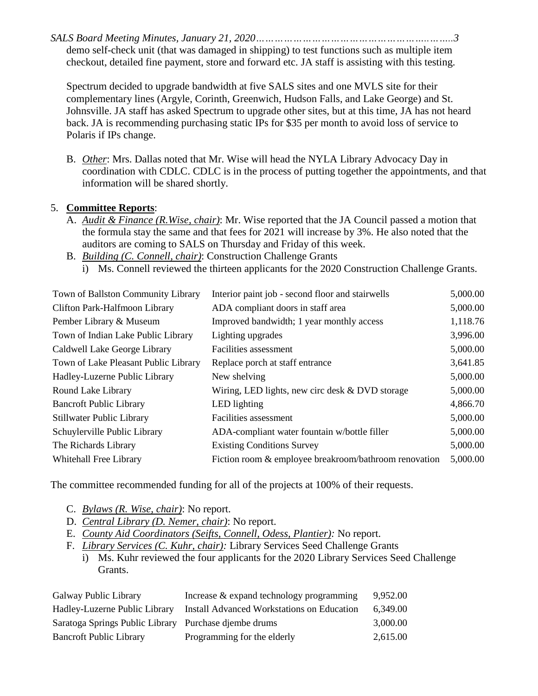*SALS Board Meeting Minutes, January 21, 2020………………………………………………..……..3* demo self-check unit (that was damaged in shipping) to test functions such as multiple item checkout, detailed fine payment, store and forward etc. JA staff is assisting with this testing.

Spectrum decided to upgrade bandwidth at five SALS sites and one MVLS site for their complementary lines (Argyle, Corinth, Greenwich, Hudson Falls, and Lake George) and St. Johnsville. JA staff has asked Spectrum to upgrade other sites, but at this time, JA has not heard back. JA is recommending purchasing static IPs for \$35 per month to avoid loss of service to Polaris if IPs change.

B. *Other*: Mrs. Dallas noted that Mr. Wise will head the NYLA Library Advocacy Day in coordination with CDLC. CDLC is in the process of putting together the appointments, and that information will be shared shortly.

### 5. **Committee Reports**:

- A. *Audit & Finance (R.Wise, chair)*: Mr. Wise reported that the JA Council passed a motion that the formula stay the same and that fees for 2021 will increase by 3%. He also noted that the auditors are coming to SALS on Thursday and Friday of this week.
- B. *Building (C. Connell, chair)*: Construction Challenge Grants
	- i) Ms. Connell reviewed the thirteen applicants for the 2020 Construction Challenge Grants.

| Interior paint job - second floor and stairwells      | 5,000.00 |
|-------------------------------------------------------|----------|
| ADA compliant doors in staff area                     | 5,000.00 |
| Improved bandwidth; 1 year monthly access             | 1,118.76 |
| Lighting upgrades                                     | 3,996.00 |
| Facilities assessment                                 | 5,000.00 |
| Replace porch at staff entrance                       | 3,641.85 |
| New shelving                                          | 5,000.00 |
| Wiring, LED lights, new circ desk $&$ DVD storage     | 5,000.00 |
| LED lighting                                          | 4,866.70 |
| Facilities assessment                                 | 5,000.00 |
| ADA-compliant water fountain w/bottle filler          | 5,000.00 |
| <b>Existing Conditions Survey</b>                     | 5,000.00 |
| Fiction room & employee breakroom/bathroom renovation | 5,000.00 |
|                                                       |          |

The committee recommended funding for all of the projects at 100% of their requests.

- C. *Bylaws (R. Wise, chair)*: No report.
- D. *Central Library (D. Nemer, chair)*: No report.
- E. *County Aid Coordinators (Seifts, Connell, Odess, Plantier):* No report.
- F. *Library Services (C. Kuhr, chair):* Library Services Seed Challenge Grants
	- i) Ms. Kuhr reviewed the four applicants for the 2020 Library Services Seed Challenge Grants.

| Galway Public Library                                 | Increase & expand technology programming   | 9.952.00 |
|-------------------------------------------------------|--------------------------------------------|----------|
| Hadley-Luzerne Public Library                         | Install Advanced Workstations on Education | 6.349.00 |
| Saratoga Springs Public Library Purchase djembe drums |                                            | 3.000.00 |
| <b>Bancroft Public Library</b>                        | Programming for the elderly                | 2,615.00 |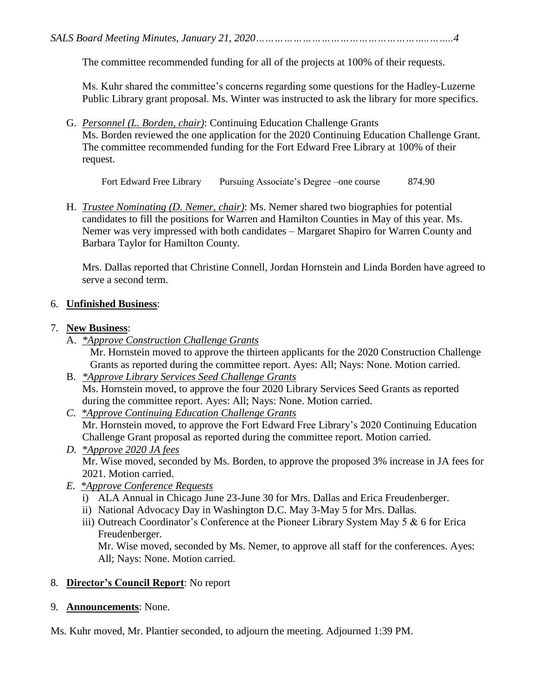The committee recommended funding for all of the projects at 100% of their requests.

Ms. Kuhr shared the committee's concerns regarding some questions for the Hadley-Luzerne Public Library grant proposal. Ms. Winter was instructed to ask the library for more specifics.

G. *Personnel (L. Borden, chair)*: Continuing Education Challenge Grants Ms. Borden reviewed the one application for the 2020 Continuing Education Challenge Grant. The committee recommended funding for the Fort Edward Free Library at 100% of their request.

Fort Edward Free Library Pursuing Associate's Degree –one course 874.90

H. *Trustee Nominating (D. Nemer, chair)*: Ms. Nemer shared two biographies for potential candidates to fill the positions for Warren and Hamilton Counties in May of this year. Ms. Nemer was very impressed with both candidates – Margaret Shapiro for Warren County and Barbara Taylor for Hamilton County.

Mrs. Dallas reported that Christine Connell, Jordan Hornstein and Linda Borden have agreed to serve a second term.

### 6. **Unfinished Business**:

### 7. **New Business**:

A. *\*Approve Construction Challenge Grants*

Mr. Hornstein moved to approve the thirteen applicants for the 2020 Construction Challenge Grants as reported during the committee report. Ayes: All; Nays: None. Motion carried.

- B. *\*Approve Library Services Seed Challenge Grants* Ms. Hornstein moved, to approve the four 2020 Library Services Seed Grants as reported during the committee report. Ayes: All; Nays: None. Motion carried.
- *C. \*Approve Continuing Education Challenge Grants* Mr. Hornstein moved, to approve the Fort Edward Free Library's 2020 Continuing Education Challenge Grant proposal as reported during the committee report. Motion carried.
- *D. \*Approve 2020 JA fees* Mr. Wise moved, seconded by Ms. Borden, to approve the proposed 3% increase in JA fees for 2021. Motion carried.
- *E. \*Approve Conference Requests*
	- i) ALA Annual in Chicago June 23-June 30 for Mrs. Dallas and Erica Freudenberger.
	- ii) National Advocacy Day in Washington D.C. May 3-May 5 for Mrs. Dallas.
	- iii) Outreach Coordinator's Conference at the Pioneer Library System May 5 & 6 for Erica Freudenberger.

Mr. Wise moved, seconded by Ms. Nemer, to approve all staff for the conferences. Ayes: All; Nays: None. Motion carried.

# 8. **Director's Council Report**: No report

# 9. **Announcements**: None.

Ms. Kuhr moved, Mr. Plantier seconded, to adjourn the meeting. Adjourned 1:39 PM.